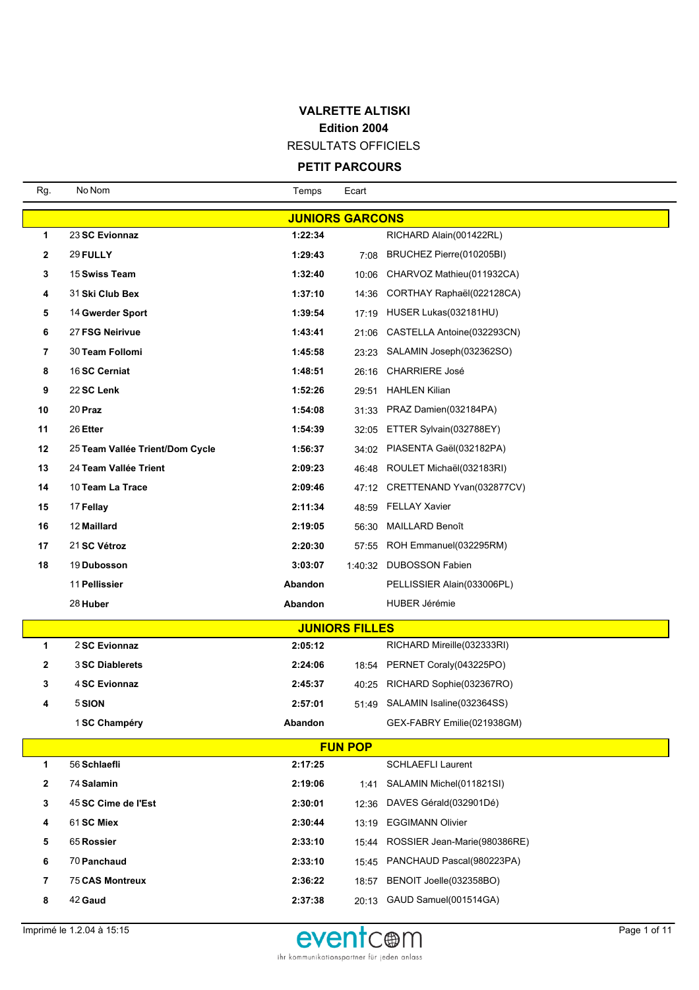### **VALRETTE ALTISKI Edition 2004** RESULTATS OFFICIELS

# **PETIT PARCOURS**

| Rg.                    | No Nom                          | Temps   | Ecart                 |                                 |  |  |  |  |
|------------------------|---------------------------------|---------|-----------------------|---------------------------------|--|--|--|--|
| <b>JUNIORS GARCONS</b> |                                 |         |                       |                                 |  |  |  |  |
| 1                      | 23 SC Evionnaz                  | 1:22:34 |                       | RICHARD Alain(001422RL)         |  |  |  |  |
| 2                      | 29 FULLY                        | 1:29:43 |                       | 7:08 BRUCHEZ Pierre(010205BI)   |  |  |  |  |
| 3                      | 15 Swiss Team                   | 1:32:40 | 10:06                 | CHARVOZ Mathieu(011932CA)       |  |  |  |  |
| 4                      | 31 Ski Club Bex                 | 1:37:10 |                       | 14:36 CORTHAY Raphaël(022128CA) |  |  |  |  |
| 5                      | 14 Gwerder Sport                | 1:39:54 |                       | 17:19 HUSER Lukas(032181HU)     |  |  |  |  |
| 6                      | 27 FSG Neirivue                 | 1:43:41 | 21:06                 | CASTELLA Antoine(032293CN)      |  |  |  |  |
| 7                      | 30 Team Follomi                 | 1:45:58 |                       | 23:23 SALAMIN Joseph(032362SO)  |  |  |  |  |
| 8                      | 16 SC Cerniat                   | 1:48:51 |                       | 26:16 CHARRIERE José            |  |  |  |  |
| 9                      | 22 SC Lenk                      | 1:52:26 | 29:51                 | <b>HAHLEN Kilian</b>            |  |  |  |  |
| 10                     | 20 Praz                         | 1:54:08 |                       | 31:33 PRAZ Damien(032184PA)     |  |  |  |  |
| 11                     | 26 Etter                        | 1:54:39 |                       | 32:05 ETTER Sylvain(032788EY)   |  |  |  |  |
| 12                     | 25 Team Vallée Trient/Dom Cycle | 1:56:37 |                       | 34:02 PIASENTA Gaël(032182PA)   |  |  |  |  |
| 13                     | 24 Team Vallée Trient           | 2:09:23 |                       | 46:48 ROULET Michaël(032183RI)  |  |  |  |  |
| 14                     | 10 Team La Trace                | 2:09:46 |                       | 47:12 CRETTENAND Yvan(032877CV) |  |  |  |  |
| 15                     | 17 Fellay                       | 2:11:34 |                       | 48:59 FELLAY Xavier             |  |  |  |  |
| 16                     | 12 Maillard                     | 2:19:05 | 56:30                 | <b>MAILLARD Benoît</b>          |  |  |  |  |
| 17                     | 21 SC Vétroz                    | 2:20:30 |                       | 57:55 ROH Emmanuel(032295RM)    |  |  |  |  |
| 18                     | 19 Dubosson                     | 3:03:07 | 1:40:32               | DUBOSSON Fabien                 |  |  |  |  |
|                        | 11 Pellissier                   | Abandon |                       | PELLISSIER Alain(033006PL)      |  |  |  |  |
|                        | 28 Huber                        | Abandon |                       | <b>HUBER Jérémie</b>            |  |  |  |  |
|                        |                                 |         | <b>JUNIORS FILLES</b> |                                 |  |  |  |  |
| 1                      | 2 SC Evionnaz                   | 2:05:12 |                       | RICHARD Mireille(032333RI)      |  |  |  |  |
| 2                      | 3 SC Diablerets                 | 2:24:06 |                       | 18:54 PERNET Coraly (043225PO)  |  |  |  |  |
| 3                      | 4 SC Evionnaz                   | 2:45:37 |                       | 40:25 RICHARD Sophie(032367RO)  |  |  |  |  |
| 4                      | 5 SION                          | 2:57:01 |                       | 51:49 SALAMIN Isaline(032364SS) |  |  |  |  |
|                        | 1 SC Champéry                   | Abandon |                       | GEX-FABRY Emilie(021938GM)      |  |  |  |  |
|                        |                                 |         | <b>FUN POP</b>        |                                 |  |  |  |  |
| 1                      | 56 Schlaefli                    | 2:17:25 |                       | <b>SCHLAEFLI Laurent</b>        |  |  |  |  |
| 2                      | 74 Salamin                      | 2:19:06 | 1:41                  | SALAMIN Michel(011821SI)        |  |  |  |  |
| 3                      | 45 SC Cime de l'Est             | 2:30:01 | 12:36                 | DAVES Gérald(032901Dé)          |  |  |  |  |
| 4                      | 61 SC Miex                      | 2:30:44 | 13:19                 | <b>EGGIMANN Olivier</b>         |  |  |  |  |
| 5                      | 65 Rossier                      | 2:33:10 | 15:44                 | ROSSIER Jean-Marie(980386RE)    |  |  |  |  |
| 6                      | 70 Panchaud                     | 2:33:10 |                       | 15:45 PANCHAUD Pascal(980223PA) |  |  |  |  |
| 7                      | <b>75 CAS Montreux</b>          | 2:36:22 | 18:57                 | BENOIT Joelle(032358BO)         |  |  |  |  |
| 8                      | 42 Gaud                         | 2:37:38 |                       | 20:13 GAUD Samuel(001514GA)     |  |  |  |  |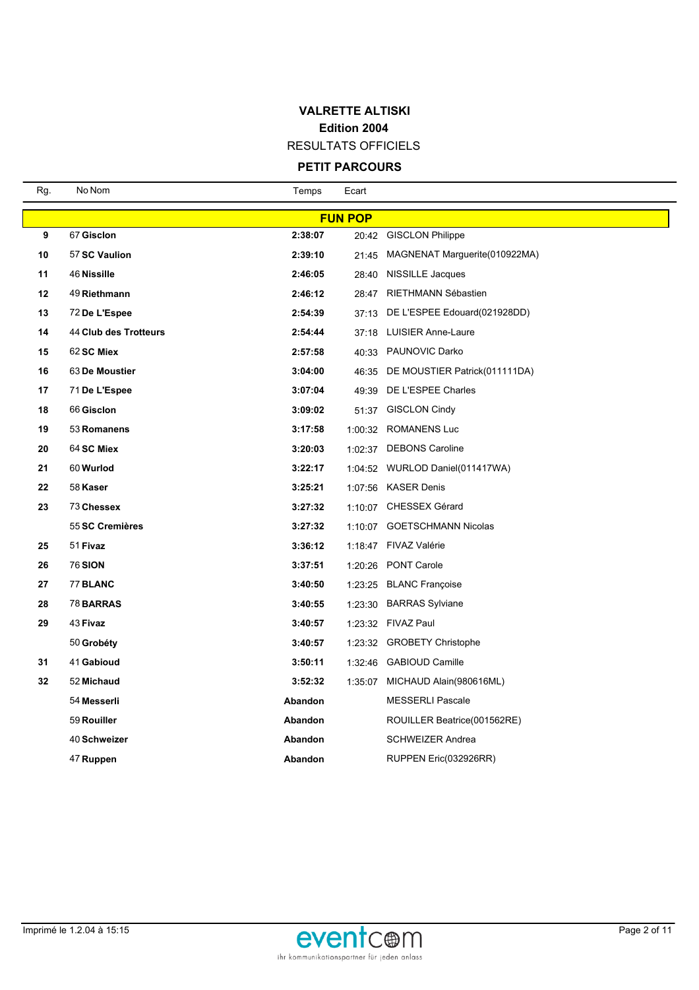RESULTATS OFFICIELS

### **PETIT PARCOURS**

| Rg. | No Nom                | Temps   | Ecart          |                                    |
|-----|-----------------------|---------|----------------|------------------------------------|
|     |                       |         | <b>FUN POP</b> |                                    |
| 9   | 67 Gisclon            | 2:38:07 |                | 20:42 GISCLON Philippe             |
| 10  | 57 SC Vaulion         | 2:39:10 | 21:45          | MAGNENAT Marguerite(010922MA)      |
| 11  | 46 Nissille           | 2:46:05 |                | 28:40 NISSILLE Jacques             |
| 12  | 49 Riethmann          | 2:46:12 |                | 28:47 RIETHMANN Sébastien          |
| 13  | 72 De L'Espee         | 2:54:39 |                | 37:13 DE L'ESPEE Edouard(021928DD) |
| 14  | 44 Club des Trotteurs | 2:54:44 |                | 37:18 LUISIER Anne-Laure           |
| 15  | 62 SC Miex            | 2:57:58 | 40:33          | <b>PAUNOVIC Darko</b>              |
| 16  | 63 De Moustier        | 3:04:00 | 46:35          | DE MOUSTIER Patrick(011111DA)      |
| 17  | 71 De L'Espee         | 3:07:04 |                | 49:39 DE L'ESPEE Charles           |
| 18  | 66 Gisclon            | 3:09:02 |                | 51:37 GISCLON Cindy                |
| 19  | 53 Romanens           | 3:17:58 |                | 1:00:32 ROMANENS Luc               |
| 20  | 64 SC Miex            | 3:20:03 |                | 1:02:37 DEBONS Caroline            |
| 21  | 60 Wurlod             | 3:22:17 |                | 1:04:52 WURLOD Daniel(011417WA)    |
| 22  | 58 Kaser              | 3:25:21 |                | 1:07:56 KASER Denis                |
| 23  | 73 Chessex            | 3:27:32 |                | 1:10:07 CHESSEX Gérard             |
|     | 55 SC Cremières       | 3:27:32 |                | 1:10:07 GOETSCHMANN Nicolas        |
| 25  | 51 Fivaz              | 3:36:12 |                | 1:18:47 FIVAZ Valérie              |
| 26  | 76 SION               | 3:37:51 | 1:20:26        | <b>PONT Carole</b>                 |
| 27  | 77 BLANC              | 3:40:50 |                | 1:23:25 BLANC Françoise            |
| 28  | <b>78 BARRAS</b>      | 3:40:55 | 1:23:30        | <b>BARRAS Sylviane</b>             |
| 29  | 43 Fivaz              | 3:40:57 |                | 1:23:32 FIVAZ Paul                 |
|     | 50 Grobéty            | 3:40:57 |                | 1:23:32 GROBETY Christophe         |
| 31  | 41 Gabioud            | 3:50:11 |                | 1:32:46 GABIOUD Camille            |
| 32  | 52 Michaud            | 3:52:32 | 1:35:07        | MICHAUD Alain(980616ML)            |
|     | 54 Messerli           | Abandon |                | <b>MESSERLI Pascale</b>            |
|     | 59 Rouiller           | Abandon |                | ROUILLER Beatrice(001562RE)        |
|     | 40 Schweizer          | Abandon |                | <b>SCHWEIZER Andrea</b>            |
|     | 47 Ruppen             | Abandon |                | RUPPEN Eric(032926RR)              |

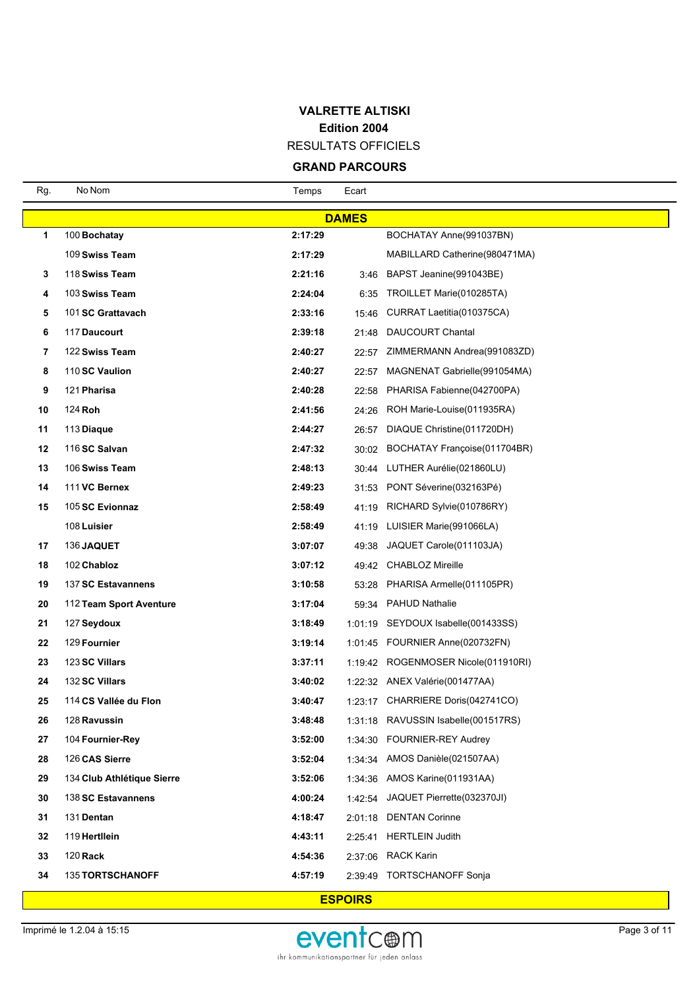RESULTATS OFFICIELS

# **GRAND PARCOURS**

| <b>DAMES</b>                                                                 |  |  |  |  |  |  |  |  |
|------------------------------------------------------------------------------|--|--|--|--|--|--|--|--|
| 1<br>2:17:29<br>BOCHATAY Anne(991037BN)<br>100 Bochatay                      |  |  |  |  |  |  |  |  |
| 109 Swiss Team<br>2:17:29<br>MABILLARD Catherine (980471MA)                  |  |  |  |  |  |  |  |  |
| 118 Swiss Team<br>2:21:16<br>BAPST Jeanine(991043BE)<br>3<br>3:46            |  |  |  |  |  |  |  |  |
| 103 Swiss Team<br>2:24:04<br>TROILLET Marie(010285TA)<br>4<br>6:35           |  |  |  |  |  |  |  |  |
| 101 SC Grattavach<br>2:33:16<br>CURRAT Laetitia(010375CA)<br>5<br>15:46      |  |  |  |  |  |  |  |  |
| 6<br>117 Daucourt<br>2:39:18<br>DAUCOURT Chantal<br>21:48                    |  |  |  |  |  |  |  |  |
| 122 Swiss Team<br>2:40:27<br>ZIMMERMANN Andrea(991083ZD)<br>7<br>22:57       |  |  |  |  |  |  |  |  |
| 8<br>110 SC Vaulion<br>2:40:27<br>MAGNENAT Gabrielle(991054MA)<br>22:57      |  |  |  |  |  |  |  |  |
| 9<br>121 Pharisa<br>2:40:28<br>PHARISA Fabienne(042700PA)<br>22:58           |  |  |  |  |  |  |  |  |
| 10<br>124 Roh<br>2:41:56<br>ROH Marie-Louise(011935RA)<br>24:26              |  |  |  |  |  |  |  |  |
| 11<br>2:44:27<br>DIAQUE Christine(011720DH)<br>113 Diague<br>26:57           |  |  |  |  |  |  |  |  |
| 12<br>116 SC Salvan<br>2:47:32<br>BOCHATAY Françoise(011704BR)<br>30:02      |  |  |  |  |  |  |  |  |
| 13<br>106 Swiss Team<br>2:48:13<br>30:44 LUTHER Aurélie(021860LU)            |  |  |  |  |  |  |  |  |
| 14<br>111 VC Bernex<br>2:49:23<br>PONT Séverine(032163Pé)<br>31:53           |  |  |  |  |  |  |  |  |
| 105 SC Evionnaz<br>2:58:49<br>RICHARD Sylvie(010786RY)<br>15<br>41:19        |  |  |  |  |  |  |  |  |
| 108 Luisier<br>2:58:49<br>LUISIER Marie(991066LA)<br>41:19                   |  |  |  |  |  |  |  |  |
| 17<br>136 JAQUET<br>3:07:07<br>JAQUET Carole(011103JA)<br>49:38              |  |  |  |  |  |  |  |  |
| 18<br>102 Chabloz<br>3:07:12<br>49:42 CHABLOZ Mireille                       |  |  |  |  |  |  |  |  |
| 19<br>3:10:58<br>PHARISA Armelle(011105PR)<br>137 SC Estavannens<br>53:28    |  |  |  |  |  |  |  |  |
| 20<br>112 Team Sport Aventure<br>3:17:04<br><b>PAHUD Nathalie</b><br>59:34   |  |  |  |  |  |  |  |  |
| 21<br>1:01:19 SEYDOUX Isabelle(001433SS)<br>127 Seydoux<br>3:18:49           |  |  |  |  |  |  |  |  |
| 22<br>129 Fournier<br>3:19:14<br>1:01:45 FOURNIER Anne(020732FN)             |  |  |  |  |  |  |  |  |
| 23<br>123 SC Villars<br>3:37:11<br>1:19:42 ROGENMOSER Nicole(011910RI)       |  |  |  |  |  |  |  |  |
| 24<br>132 SC Villars<br>3:40:02<br>1:22:32 ANEX Valérie(001477AA)            |  |  |  |  |  |  |  |  |
| 25<br>1:23:17 CHARRIERE Doris(042741CO)<br>114 CS Vallée du Flon<br>3:40:47  |  |  |  |  |  |  |  |  |
| 1:31:18 RAVUSSIN Isabelle(001517RS)<br>26<br>128 Ravussin<br>3:48:48         |  |  |  |  |  |  |  |  |
| 27<br>104 Fournier-Rey<br>3:52:00<br>1:34:30 FOURNIER-REY Audrey             |  |  |  |  |  |  |  |  |
| 28<br>126 CAS Sierre<br>3:52:04<br>1:34:34 AMOS Danièle (021507AA)           |  |  |  |  |  |  |  |  |
| 29<br>134 Club Athlétique Sierre<br>1:34:36 AMOS Karine(011931AA)<br>3:52:06 |  |  |  |  |  |  |  |  |
| JAQUET Pierrette(032370JI)<br>30<br>138 SC Estavannens<br>4:00:24<br>1:42:54 |  |  |  |  |  |  |  |  |
| 31<br>131 Dentan<br>4:18:47<br><b>DENTAN Corinne</b><br>2:01:18              |  |  |  |  |  |  |  |  |
| 32<br>119 Hertllein<br>4:43:11<br><b>HERTLEIN Judith</b><br>2:25:41          |  |  |  |  |  |  |  |  |
| 33<br>120 Rack<br>4:54:36<br><b>RACK Karin</b><br>2:37:06                    |  |  |  |  |  |  |  |  |
| 34<br>135 TORTSCHANOFF<br>4:57:19<br>2:39:49 TORTSCHANOFF Sonja              |  |  |  |  |  |  |  |  |

#### **ESPOIRS**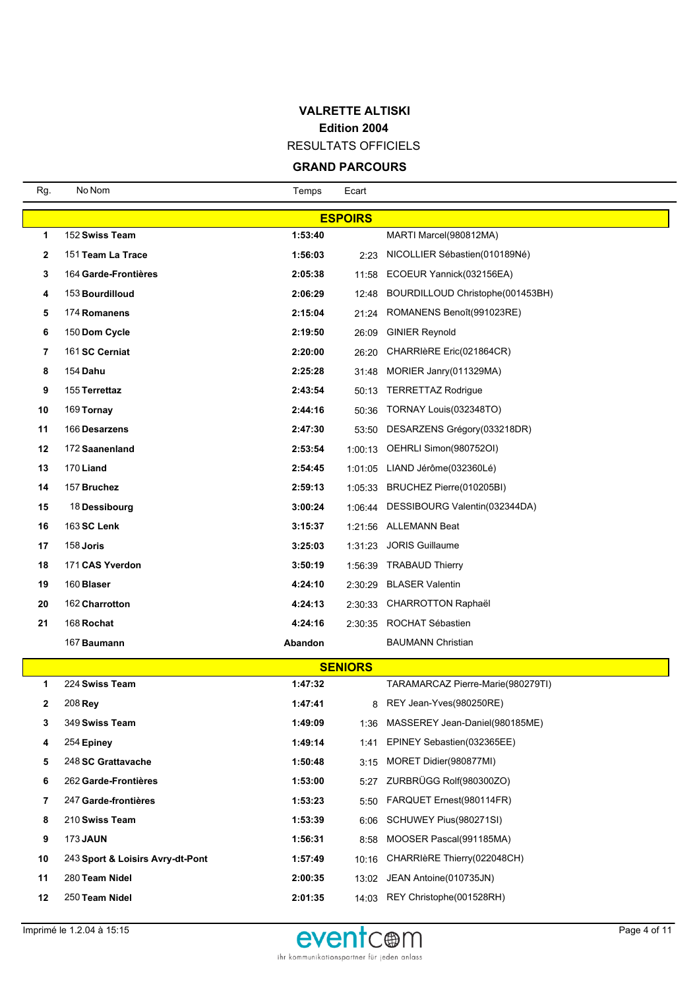RESULTATS OFFICIELS

| Rg.          | No Nom                           | Temps   | Ecart          |                                       |  |  |  |  |  |
|--------------|----------------------------------|---------|----------------|---------------------------------------|--|--|--|--|--|
|              | <b>ESPOIRS</b>                   |         |                |                                       |  |  |  |  |  |
| 1            | 152 Swiss Team                   | 1:53:40 |                | MARTI Marcel(980812MA)                |  |  |  |  |  |
| $\mathbf{2}$ | 151 Team La Trace                | 1:56:03 | 2:23           | NICOLLIER Sébastien(010189Né)         |  |  |  |  |  |
| 3            | 164 Garde-Frontières             | 2:05:38 | 11:58          | ECOEUR Yannick(032156EA)              |  |  |  |  |  |
| 4            | 153 Bourdilloud                  | 2:06:29 | 12:48          | BOURDILLOUD Christophe(001453BH)      |  |  |  |  |  |
| 5            | 174 Romanens                     | 2:15:04 | 21:24          | ROMANENS Benoît(991023RE)             |  |  |  |  |  |
| 6            | 150 Dom Cycle                    | 2:19:50 | 26:09          | <b>GINIER Reynold</b>                 |  |  |  |  |  |
| 7            | 161 SC Cerniat                   | 2:20:00 | 26:20          | CHARRIèRE Eric(021864CR)              |  |  |  |  |  |
| 8            | 154 <b>Dahu</b>                  | 2:25:28 | 31:48          | MORIER Janry (011329MA)               |  |  |  |  |  |
| 9            | 155 Terrettaz                    | 2:43:54 | 50:13          | <b>TERRETTAZ Rodrigue</b>             |  |  |  |  |  |
| 10           | 169 Tornay                       | 2:44:16 | 50:36          | TORNAY Louis(032348TO)                |  |  |  |  |  |
| 11           | 166 Desarzens                    | 2:47:30 | 53:50          | DESARZENS Grégory(033218DR)           |  |  |  |  |  |
| 12           | 172 Saanenland                   | 2:53:54 |                | 1:00:13 OEHRLI Simon(980752OI)        |  |  |  |  |  |
| 13           | 170 Liand                        | 2:54:45 |                | 1:01:05 LIAND Jérôme(032360Lé)        |  |  |  |  |  |
| 14           | 157 Bruchez                      | 2:59:13 |                | 1:05:33 BRUCHEZ Pierre(010205BI)      |  |  |  |  |  |
| 15           | 18 Dessibourg                    | 3:00:24 |                | 1:06:44 DESSIBOURG Valentin(032344DA) |  |  |  |  |  |
| 16           | 163 SC Lenk                      | 3:15:37 |                | 1:21:56 ALLEMANN Beat                 |  |  |  |  |  |
| 17           | 158 Joris                        | 3:25:03 | 1:31:23        | <b>JORIS Guillaume</b>                |  |  |  |  |  |
| 18           | 171 CAS Yverdon                  | 3:50:19 | 1:56:39        | <b>TRABAUD Thierry</b>                |  |  |  |  |  |
| 19           | 160 Blaser                       | 4:24:10 | 2:30:29        | <b>BLASER Valentin</b>                |  |  |  |  |  |
| 20           | 162 Charrotton                   | 4:24:13 |                | 2:30:33 CHARROTTON Raphaël            |  |  |  |  |  |
| 21           | 168 Rochat                       | 4:24:16 |                | 2:30:35 ROCHAT Sébastien              |  |  |  |  |  |
|              | 167 Baumann                      | Abandon |                | <b>BAUMANN Christian</b>              |  |  |  |  |  |
|              |                                  |         | <b>SENIORS</b> |                                       |  |  |  |  |  |
| 1            | 224 Swiss Team                   | 1:47:32 |                | TARAMARCAZ Pierre-Marie(980279TI)     |  |  |  |  |  |
| 2            | 208 Rey                          | 1:47:41 | 8              | REY Jean-Yves(980250RE)               |  |  |  |  |  |
| 3            | 349 Swiss Team                   | 1:49:09 | 1:36           | MASSEREY Jean-Daniel(980185ME)        |  |  |  |  |  |
| 4            | 254 Epiney                       | 1:49:14 | 1:41           | EPINEY Sebastien (032365EE)           |  |  |  |  |  |
| 5            | 248 SC Grattavache               | 1:50:48 | 3:15           | MORET Didier(980877MI)                |  |  |  |  |  |
| 6            | 262 Garde-Frontières             | 1:53:00 | 5:27           | ZURBRÜGG Rolf(980300ZO)               |  |  |  |  |  |
| 7            | 247 Garde-frontières             | 1:53:23 | 5:50           | FARQUET Ernest(980114FR)              |  |  |  |  |  |
| 8            | 210 Swiss Team                   | 1:53:39 | 6:06           | SCHUWEY Pius(980271SI)                |  |  |  |  |  |
| 9            | <b>173 JAUN</b>                  | 1:56:31 | 8:58           | MOOSER Pascal(991185MA)               |  |  |  |  |  |
| 10           | 243 Sport & Loisirs Avry-dt-Pont | 1:57:49 | 10:16          | CHARRIèRE Thierry(022048CH)           |  |  |  |  |  |
| 11           | 280 Team Nidel                   | 2:00:35 | 13:02          | JEAN Antoine(010735JN)                |  |  |  |  |  |
| 12           | 250 Team Nidel                   | 2:01:35 |                | 14:03 REY Christophe(001528RH)        |  |  |  |  |  |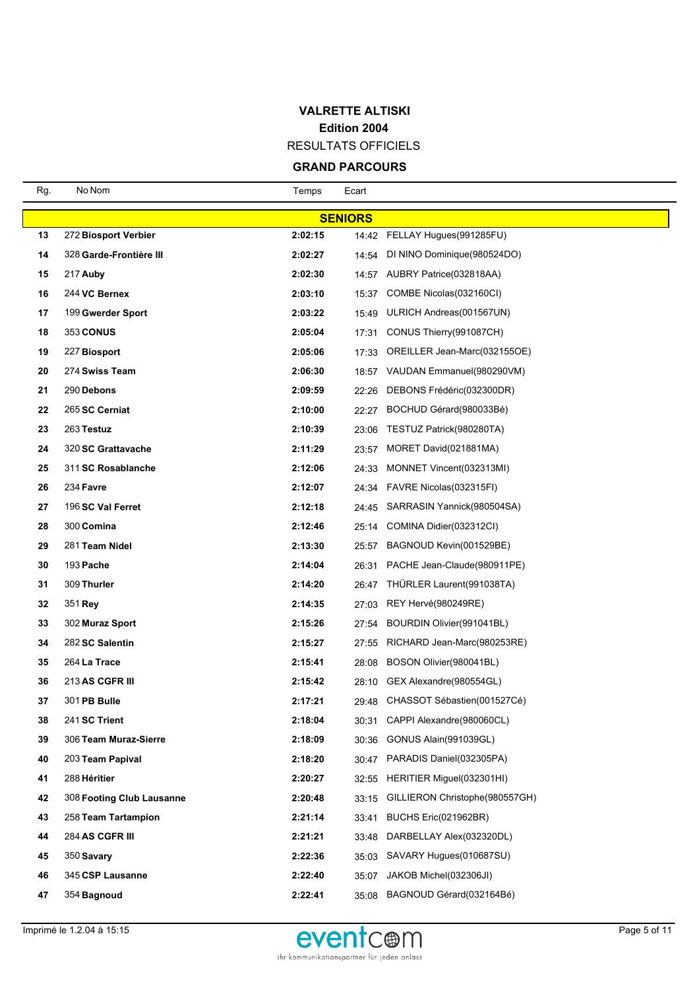RESULTATS OFFICIELS

| Rg. | No Nom                    | Temps   | Ecart |                                   |  |  |  |  |
|-----|---------------------------|---------|-------|-----------------------------------|--|--|--|--|
|     | <b>SENIORS</b>            |         |       |                                   |  |  |  |  |
| 13  | 272 Biosport Verbier      | 2:02:15 |       | 14:42 FELLAY Hugues(991285FU)     |  |  |  |  |
| 14  | 328 Garde-Frontière III   | 2:02:27 | 14:54 | DI NINO Dominique (980524DO)      |  |  |  |  |
| 15  | 217 Auby                  | 2:02:30 |       | 14:57 AUBRY Patrice(032818AA)     |  |  |  |  |
| 16  | 244 VC Bernex             | 2:03:10 | 15:37 | COMBE Nicolas(032160CI)           |  |  |  |  |
| 17  | 199 Gwerder Sport         | 2:03:22 | 15:49 | ULRICH Andreas(001567UN)          |  |  |  |  |
| 18  | <b>353 CONUS</b>          | 2:05:04 | 17:31 | CONUS Thierry (991087CH)          |  |  |  |  |
| 19  | 227 Biosport              | 2:05:06 | 17:33 | OREILLER Jean-Marc(032155OE)      |  |  |  |  |
| 20  | 274 Swiss Team            | 2:06:30 |       | 18:57 VAUDAN Emmanuel(980290VM)   |  |  |  |  |
| 21  | 290 Debons                | 2:09:59 | 22:26 | DEBONS Frédéric(032300DR)         |  |  |  |  |
| 22  | 265 SC Cerniat            | 2:10:00 | 22:27 | BOCHUD Gérard(980033Bé)           |  |  |  |  |
| 23  | 263 Testuz                | 2:10:39 | 23:06 | TESTUZ Patrick(980280TA)          |  |  |  |  |
| 24  | 320 SC Grattavache        | 2:11:29 | 23:57 | MORET David(021881MA)             |  |  |  |  |
| 25  | 311 SC Rosablanche        | 2:12:06 | 24:33 | MONNET Vincent(032313MI)          |  |  |  |  |
| 26  | 234 Favre                 | 2:12:07 | 24:34 | FAVRE Nicolas (032315FI)          |  |  |  |  |
| 27  | 196 SC Val Ferret         | 2:12:18 |       | 24:45 SARRASIN Yannick(980504SA)  |  |  |  |  |
| 28  | 300 Comina                | 2:12:46 | 25:14 | COMINA Didier(032312CI)           |  |  |  |  |
| 29  | 281 Team Nidel            | 2:13:30 | 25:57 | BAGNOUD Kevin(001529BE)           |  |  |  |  |
| 30  | 193 Pache                 | 2:14:04 | 26:31 | PACHE Jean-Claude(980911PE)       |  |  |  |  |
| 31  | 309 Thurler               | 2:14:20 | 26:47 | THÜRLER Laurent (991038TA)        |  |  |  |  |
| 32  | 351 Rey                   | 2:14:35 | 27:03 | REY Hervé(980249RE)               |  |  |  |  |
| 33  | 302 Muraz Sport           | 2:15:26 | 27:54 | BOURDIN Olivier(991041BL)         |  |  |  |  |
| 34  | 282 SC Salentin           | 2:15:27 | 27:55 | RICHARD Jean-Marc(980253RE)       |  |  |  |  |
| 35  | 264 La Trace              | 2:15:41 | 28:08 | BOSON Olivier(980041BL)           |  |  |  |  |
| 36  | <b>213 AS CGFR III</b>    | 2:15:42 | 28:10 | GEX Alexandre(980554GL)           |  |  |  |  |
| 37  | 301 PB Bulle              | 2:17:21 |       | 29:48 CHASSOT Sébastien(001527Cé) |  |  |  |  |
| 38  | 241 SC Trient             | 2:18:04 | 30:31 | CAPPI Alexandre(980060CL)         |  |  |  |  |
| 39  | 306 Team Muraz-Sierre     | 2:18:09 | 30:36 | GONUS Alain(991039GL)             |  |  |  |  |
| 40  | 203 Team Papival          | 2:18:20 |       | 30:47 PARADIS Daniel(032305PA)    |  |  |  |  |
| 41  | 288 Héritier              | 2:20:27 | 32:55 | HERITIER Miguel(032301HI)         |  |  |  |  |
| 42  | 308 Footing Club Lausanne | 2:20:48 | 33:15 | GILLIERON Christophe(980557GH)    |  |  |  |  |
| 43  | 258 Team Tartampion       | 2:21:14 | 33:41 | BUCHS Eric(021962BR)              |  |  |  |  |
| 44  | 284 AS CGFR III           | 2:21:21 | 33:48 | DARBELLAY Alex(032320DL)          |  |  |  |  |
| 45  | 350 Savary                | 2:22:36 | 35:03 | SAVARY Hugues(010687SU)           |  |  |  |  |
| 46  | 345 CSP Lausanne          | 2:22:40 | 35:07 | JAKOB Michel(032306JI)            |  |  |  |  |
| 47  | 354 Bagnoud               | 2:22:41 | 35:08 | BAGNOUD Gérard(032164Bé)          |  |  |  |  |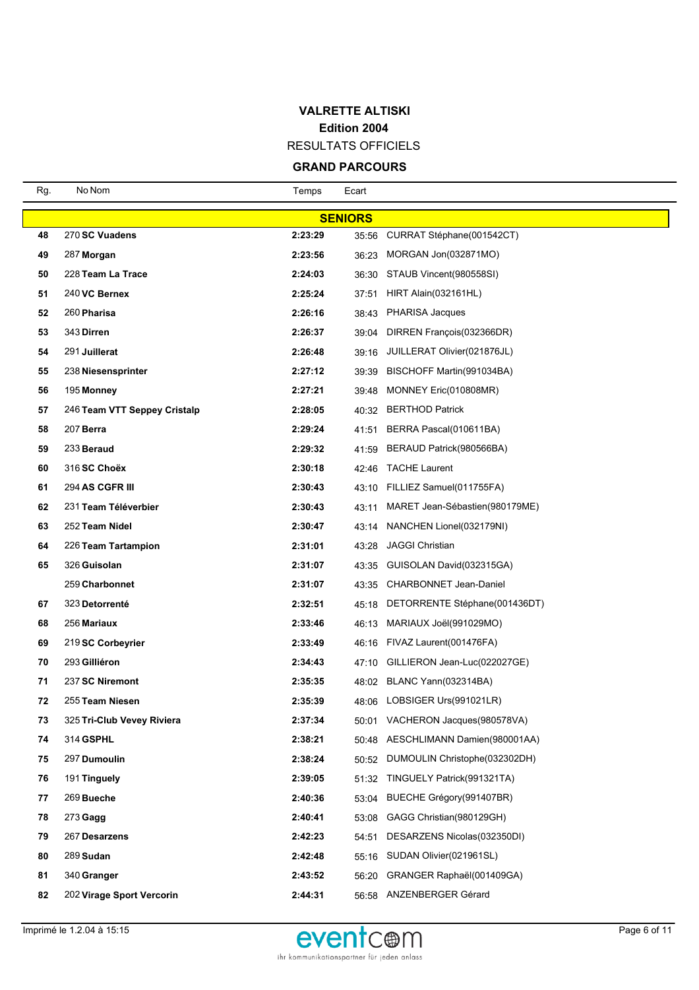RESULTATS OFFICIELS

| Rg.            | No Nom                       | Temps   | Ecart |                                    |  |  |  |
|----------------|------------------------------|---------|-------|------------------------------------|--|--|--|
| <b>SENIORS</b> |                              |         |       |                                    |  |  |  |
| 48             | 270 SC Vuadens               | 2:23:29 | 35:56 | CURRAT Stéphane(001542CT)          |  |  |  |
| 49             | 287 Morgan                   | 2:23:56 | 36:23 | MORGAN Jon(032871MO)               |  |  |  |
| 50             | 228 Team La Trace            | 2:24:03 | 36:30 | STAUB Vincent(980558SI)            |  |  |  |
| 51             | 240 VC Bernex                | 2:25:24 | 37:51 | HIRT Alain(032161HL)               |  |  |  |
| 52             | 260 Pharisa                  | 2:26:16 | 38:43 | <b>PHARISA Jacques</b>             |  |  |  |
| 53             | 343 Dirren                   | 2:26:37 | 39:04 | DIRREN François (032366DR)         |  |  |  |
| 54             | 291 Juillerat                | 2:26:48 |       | 39:16 JUILLERAT Olivier(021876JL)  |  |  |  |
| 55             | 238 Niesensprinter           | 2:27:12 | 39:39 | BISCHOFF Martin(991034BA)          |  |  |  |
| 56             | 195 Monney                   | 2:27:21 | 39:48 | MONNEY Eric(010808MR)              |  |  |  |
| 57             | 246 Team VTT Seppey Cristalp | 2:28:05 | 40:32 | <b>BERTHOD Patrick</b>             |  |  |  |
| 58             | 207 Berra                    | 2:29:24 | 41:51 | BERRA Pascal(010611BA)             |  |  |  |
| 59             | 233 Beraud                   | 2:29:32 | 41:59 | BERAUD Patrick(980566BA)           |  |  |  |
| 60             | 316 SC Choëx                 | 2:30:18 | 42:46 | <b>TACHE Laurent</b>               |  |  |  |
| 61             | 294 AS CGFR III              | 2:30:43 | 43:10 | FILLIEZ Samuel(011755FA)           |  |  |  |
| 62             | 231 Team Téléverbier         | 2:30:43 | 43:11 | MARET Jean-Sébastien(980179ME)     |  |  |  |
| 63             | 252 Team Nidel               | 2:30:47 | 43:14 | NANCHEN Lionel(032179NI)           |  |  |  |
| 64             | 226 Team Tartampion          | 2:31:01 | 43:28 | <b>JAGGI Christian</b>             |  |  |  |
| 65             | 326 Guisolan                 | 2:31:07 | 43:35 | GUISOLAN David(032315GA)           |  |  |  |
|                | 259 Charbonnet               | 2:31:07 | 43:35 | CHARBONNET Jean-Daniel             |  |  |  |
| 67             | 323 Detorrenté               | 2:32:51 | 45:18 | DETORRENTE Stéphane(001436DT)      |  |  |  |
| 68             | 256 Mariaux                  | 2:33:46 | 46:13 | MARIAUX Joël(991029MO)             |  |  |  |
| 69             | 219 SC Corbeyrier            | 2:33:49 |       | 46:16 FIVAZ Laurent(001476FA)      |  |  |  |
| 70             | 293 Gilliéron                | 2:34:43 | 47:10 | GILLIERON Jean-Luc(022027GE)       |  |  |  |
| 71             | 237 SC Niremont              | 2:35:35 |       | 48:02 BLANC Yann(032314BA)         |  |  |  |
| 72             | 255 Team Niesen              | 2:35:39 |       | 48:06 LOBSIGER Urs(991021LR)       |  |  |  |
| 73             | 325 Tri-Club Vevey Riviera   | 2:37:34 |       | 50:01 VACHERON Jacques (980578VA)  |  |  |  |
| 74             | 314 GSPHL                    | 2:38:21 |       | 50:48 AESCHLIMANN Damien(980001AA) |  |  |  |
| 75             | 297 Dumoulin                 | 2:38:24 | 50:52 | DUMOULIN Christophe(032302DH)      |  |  |  |
| 76             | 191 Tinguely                 | 2:39:05 | 51:32 | TINGUELY Patrick(991321TA)         |  |  |  |
| 77             | 269 Bueche                   | 2:40:36 | 53:04 | BUECHE Grégory (991407BR)          |  |  |  |
| 78             | $273$ Gagg                   | 2:40:41 | 53:08 | GAGG Christian(980129GH)           |  |  |  |
| 79             | 267 Desarzens                | 2:42:23 | 54:51 | DESARZENS Nicolas (032350DI)       |  |  |  |
| 80             | 289 Sudan                    | 2:42:48 | 55:16 | SUDAN Olivier(021961SL)            |  |  |  |
| 81             | 340 Granger                  | 2:43:52 | 56:20 | GRANGER Raphaël(001409GA)          |  |  |  |
| 82             | 202 Virage Sport Vercorin    | 2:44:31 |       | 56:58 ANZENBERGER Gérard           |  |  |  |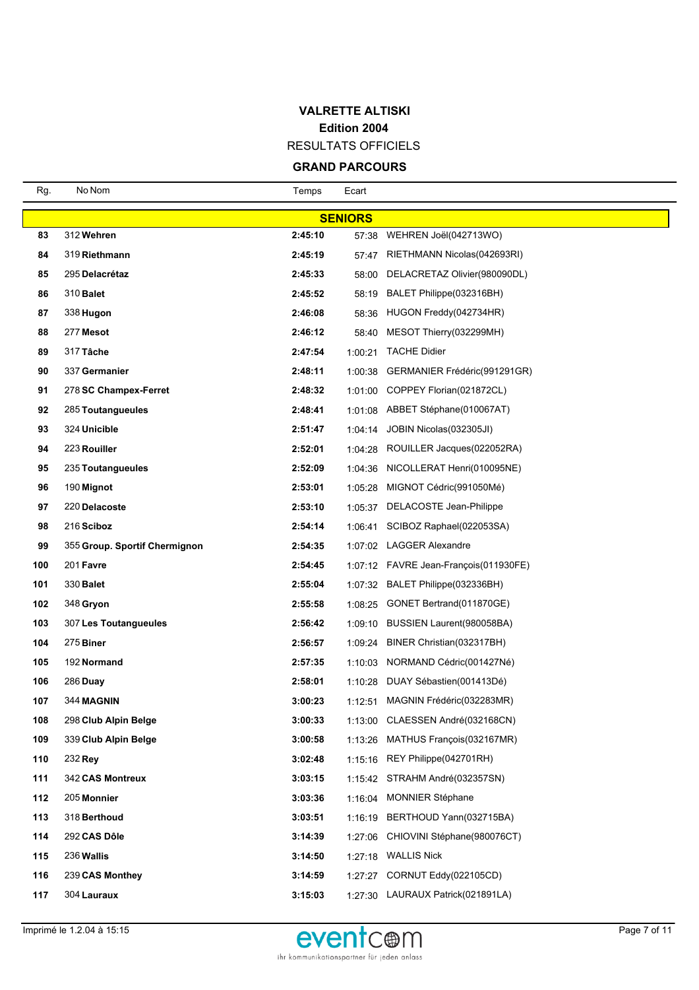RESULTATS OFFICIELS

| Rg. | No Nom                        | Temps   | Ecart          |                                        |
|-----|-------------------------------|---------|----------------|----------------------------------------|
|     |                               |         | <b>SENIORS</b> |                                        |
| 83  | 312 Wehren                    | 2:45:10 | 57:38          | WEHREN Joël(042713WO)                  |
| 84  | 319 Riethmann                 | 2:45:19 | 57:47          | RIETHMANN Nicolas(042693RI)            |
| 85  | 295 Delacrétaz                | 2:45:33 | 58:00          | DELACRETAZ Olivier(980090DL)           |
| 86  | 310 <b>Balet</b>              | 2:45:52 | 58:19          | BALET Philippe(032316BH)               |
| 87  | 338 Hugon                     | 2:46:08 | 58:36          | HUGON Freddy(042734HR)                 |
| 88  | 277 Mesot                     | 2:46:12 | 58:40          | MESOT Thierry (032299MH)               |
| 89  | 317 Tâche                     | 2:47:54 | 1:00:21        | <b>TACHE Didier</b>                    |
| 90  | 337 Germanier                 | 2:48:11 |                | 1:00:38 GERMANIER Frédéric(991291GR)   |
| 91  | 278 SC Champex-Ferret         | 2:48:32 |                | 1:01:00 COPPEY Florian(021872CL)       |
| 92  | 285 Toutangueules             | 2:48:41 |                | 1:01:08 ABBET Stéphane(010067AT)       |
| 93  | 324 Unicible                  | 2:51:47 |                | $1:04:14$ JOBIN Nicolas (032305JI)     |
| 94  | 223 Rouiller                  | 2:52:01 |                | 1:04:28 ROUILLER Jacques (022052RA)    |
| 95  | 235 Toutangueules             | 2:52:09 | 1:04:36        | NICOLLERAT Henri(010095NE)             |
| 96  | 190 Mignot                    | 2:53:01 | 1:05:28        | MIGNOT Cédric(991050Mé)                |
| 97  | 220 Delacoste                 | 2:53:10 | 1:05:37        | DELACOSTE Jean-Philippe                |
| 98  | 216 Sciboz                    | 2:54:14 | 1:06:41        | SCIBOZ Raphael(022053SA)               |
| 99  | 355 Group. Sportif Chermignon | 2:54:35 |                | 1:07:02 LAGGER Alexandre               |
| 100 | 201 Favre                     | 2:54:45 |                | 1:07:12 FAVRE Jean-François (011930FE) |
| 101 | 330 <b>Balet</b>              | 2:55:04 |                | 1:07:32 BALET Philippe(032336BH)       |
| 102 | 348 Gryon                     | 2:55:58 |                | 1:08:25 GONET Bertrand(011870GE)       |
| 103 | 307 Les Toutangueules         | 2:56:42 | 1:09:10        | BUSSIEN Laurent (980058BA)             |
| 104 | 275 Biner                     | 2:56:57 | 1:09:24        | BINER Christian(032317BH)              |
| 105 | 192 Normand                   | 2:57:35 | 1:10:03        | NORMAND Cédric(001427Né)               |
| 106 | 286 Duay                      | 2:58:01 | 1:10:28        | DUAY Sébastien(001413Dé)               |
| 107 | 344 MAGNIN                    | 3:00:23 | 1:12:51        | MAGNIN Frédéric(032283MR)              |
| 108 | 298 Club Alpin Belge          | 3:00:33 |                | 1:13:00 CLAESSEN André(032168CN)       |
| 109 | 339 Club Alpin Belge          | 3:00:58 | 1:13:26        | MATHUS François (032167MR)             |
| 110 | 232 Rey                       | 3:02:48 |                | 1:15:16 REY Philippe(042701RH)         |
| 111 | 342 CAS Montreux              | 3:03:15 |                | 1:15:42 STRAHM André(032357SN)         |
| 112 | 205 Monnier                   | 3:03:36 | 1:16:04        | <b>MONNIER Stéphane</b>                |
| 113 | 318 Berthoud                  | 3:03:51 | 1:16:19        | BERTHOUD Yann(032715BA)                |
| 114 | 292 CAS Dôle                  | 3:14:39 | 1:27:06        | CHIOVINI Stéphane(980076CT)            |
| 115 | 236 Wallis                    | 3:14:50 | 1:27:18        | <b>WALLIS Nick</b>                     |
| 116 | 239 CAS Monthey               | 3:14:59 | 1:27:27        | CORNUT Eddy(022105CD)                  |
| 117 | 304 Lauraux                   | 3:15:03 |                | 1:27:30 LAURAUX Patrick(021891LA)      |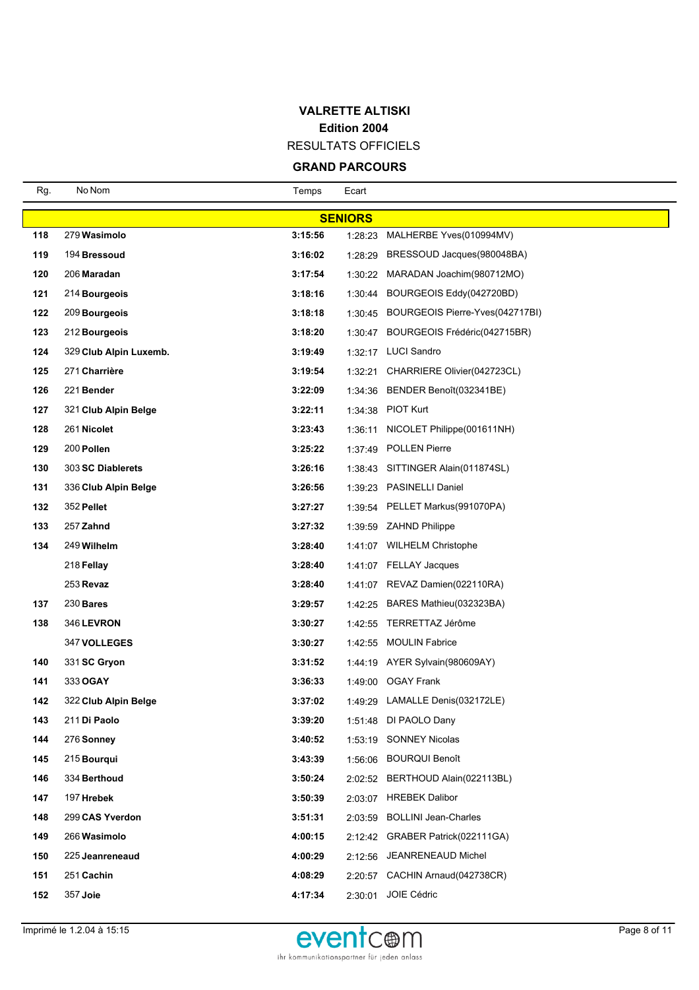RESULTATS OFFICIELS

| Rg. | No Nom                 | Temps   | Ecart          |                                   |
|-----|------------------------|---------|----------------|-----------------------------------|
|     |                        |         | <b>SENIORS</b> |                                   |
| 118 | 279 Wasimolo           | 3:15:56 | 1:28:23        | MALHERBE Yves(010994MV)           |
| 119 | 194 Bressoud           | 3:16:02 | 1:28:29        | BRESSOUD Jacques(980048BA)        |
| 120 | 206 Maradan            | 3:17:54 | 1:30:22        | MARADAN Joachim (980712MO)        |
| 121 | 214 Bourgeois          | 3:18:16 | 1:30:44        | BOURGEOIS Eddy(042720BD)          |
| 122 | 209 Bourgeois          | 3:18:18 | 1:30:45        | BOURGEOIS Pierre-Yves(042717BI)   |
| 123 | 212 Bourgeois          | 3:18:20 | 1:30:47        | BOURGEOIS Frédéric(042715BR)      |
| 124 | 329 Club Alpin Luxemb. | 3:19:49 |                | 1:32:17 LUCI Sandro               |
| 125 | 271 Charrière          | 3:19:54 | 1:32:21        | CHARRIERE Olivier(042723CL)       |
| 126 | 221 Bender             | 3:22:09 | 1:34:36        | BENDER Benoît(032341BE)           |
| 127 | 321 Club Alpin Belge   | 3:22:11 |                | 1:34:38 PIOT Kurt                 |
| 128 | 261 Nicolet            | 3:23:43 | 1:36:11        | NICOLET Philippe(001611NH)        |
| 129 | 200 Pollen             | 3:25:22 |                | 1:37:49 POLLEN Pierre             |
| 130 | 303 SC Diablerets      | 3:26:16 |                | 1:38:43 SITTINGER Alain(011874SL) |
| 131 | 336 Club Alpin Belge   | 3:26:56 |                | 1:39:23 PASINELLI Daniel          |
| 132 | 352 Pellet             | 3:27:27 |                | 1:39:54 PELLET Markus(991070PA)   |
| 133 | 257 Zahnd              | 3:27:32 |                | 1:39:59 ZAHND Philippe            |
| 134 | 249 Wilhelm            | 3:28:40 |                | 1:41:07 WILHELM Christophe        |
|     | 218 Fellay             | 3:28:40 |                | 1:41:07 FELLAY Jacques            |
|     | 253 Revaz              | 3:28:40 |                | 1:41:07 REVAZ Damien(022110RA)    |
| 137 | $230$ Bares            | 3:29:57 |                | 1:42:25 BARES Mathieu(032323BA)   |
| 138 | 346 LEVRON             | 3:30:27 |                | 1:42:55 TERRETTAZ Jérôme          |
|     | <b>347 VOLLEGES</b>    | 3:30:27 | 1:42:55        | <b>MOULIN Fabrice</b>             |
| 140 | 331 SC Gryon           | 3:31:52 |                | 1:44:19 AYER Sylvain(980609AY)    |
| 141 | 333 OGAY               | 3:36:33 | 1:49:00        | <b>OGAY Frank</b>                 |
| 142 | 322 Club Alpin Belge   | 3:37:02 |                | 1:49:29 LAMALLE Denis(032172LE)   |
| 143 | 211 Di Paolo           | 3:39:20 |                | 1:51:48 DI PAOLO Dany             |
| 144 | 276 Sonney             | 3:40:52 |                | 1:53:19 SONNEY Nicolas            |
| 145 | 215 Bourqui            | 3:43:39 | 1:56:06        | <b>BOURQUI Benoît</b>             |
| 146 | 334 Berthoud           | 3:50:24 | 2:02:52        | BERTHOUD Alain(022113BL)          |
| 147 | 197 Hrebek             | 3:50:39 | 2:03:07        | <b>HREBEK Dalibor</b>             |
| 148 | 299 CAS Yverdon        | 3:51:31 | 2:03:59        | <b>BOLLINI Jean-Charles</b>       |
| 149 | 266 Wasimolo           | 4:00:15 |                | 2:12:42 GRABER Patrick(022111GA)  |
| 150 | 225 Jeanreneaud        | 4:00:29 |                | 2:12:56 JEANRENEAUD Michel        |
| 151 | 251 Cachin             | 4:08:29 | 2:20:57        | CACHIN Arnaud(042738CR)           |
| 152 | 357 Joie               | 4:17:34 |                | 2:30:01 JOIE Cédric               |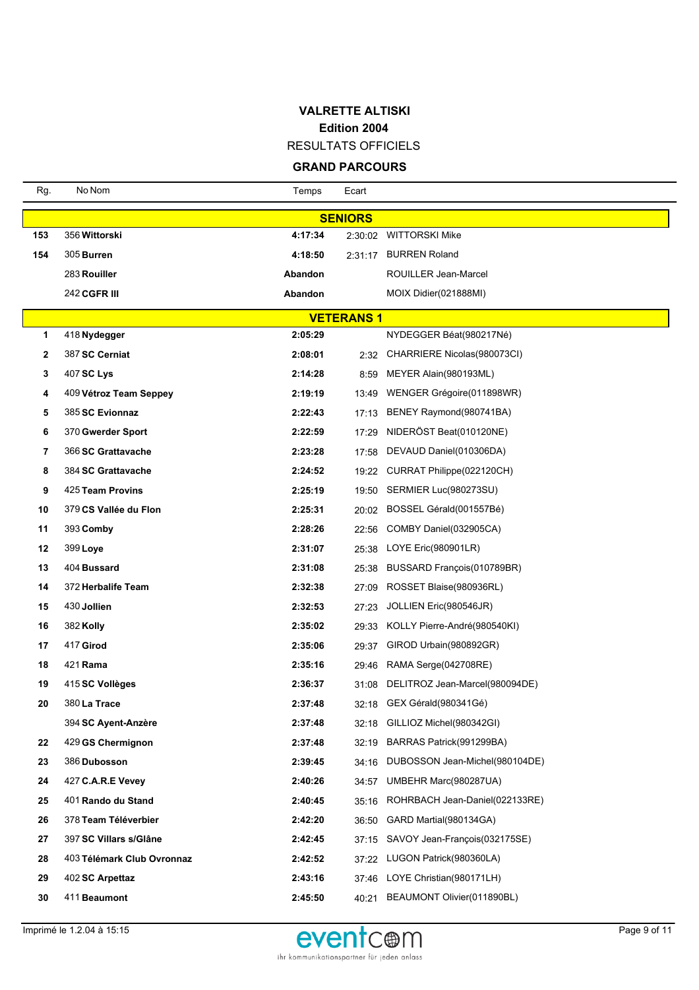RESULTATS OFFICIELS

| Rg.            | No Nom                     | Temps            | Ecart |                                   |  |  |  |  |
|----------------|----------------------------|------------------|-------|-----------------------------------|--|--|--|--|
| <b>SENIORS</b> |                            |                  |       |                                   |  |  |  |  |
| 153            | 356 Wittorski              | 4:17:34          |       | 2:30:02 WITTORSKI Mike            |  |  |  |  |
| 154            | 305 Burren                 | 4:18:50          |       | 2:31:17 BURREN Roland             |  |  |  |  |
|                | 283 Rouiller               | Abandon          |       | ROUILLER Jean-Marcel              |  |  |  |  |
|                | <b>242 CGFR III</b>        | Abandon          |       | MOIX Didier(021888MI)             |  |  |  |  |
|                |                            | <b>VETERANS1</b> |       |                                   |  |  |  |  |
| 1              | 418 Nydegger               | 2:05:29          |       | NYDEGGER Béat(980217Né)           |  |  |  |  |
| 2              | 387 SC Cerniat             | 2:08:01          |       | 2:32 CHARRIERE Nicolas (980073CI) |  |  |  |  |
| 3              | 407 SC Lys                 | 2:14:28          | 8:59  | MEYER Alain(980193ML)             |  |  |  |  |
| 4              | 409 Vétroz Team Seppey     | 2:19:19          |       | 13:49 WENGER Grégoire(011898WR)   |  |  |  |  |
| 5              | 385 SC Evionnaz            | 2:22:43          | 17:13 | BENEY Raymond(980741BA)           |  |  |  |  |
| 6              | 370 Gwerder Sport          | 2:22:59          | 17:29 | NIDERÖST Beat(010120NE)           |  |  |  |  |
| 7              | 366 SC Grattavache         | 2:23:28          | 17:58 | DEVAUD Daniel(010306DA)           |  |  |  |  |
| 8              | 384 SC Grattavache         | 2:24:52          |       | 19:22 CURRAT Philippe(022120CH)   |  |  |  |  |
| 9              | 425 Team Provins           | 2:25:19          | 19:50 | SERMIER Luc(980273SU)             |  |  |  |  |
| 10             | 379 CS Vallée du Flon      | 2:25:31          |       | 20:02 BOSSEL Gérald(001557Bé)     |  |  |  |  |
| 11             | 393 Comby                  | 2:28:26          | 22:56 | COMBY Daniel(032905CA)            |  |  |  |  |
| 12             | 399 Loye                   | 2:31:07          |       | 25:38 LOYE Eric(980901LR)         |  |  |  |  |
| 13             | 404 Bussard                | 2:31:08          | 25:38 | BUSSARD François (010789BR)       |  |  |  |  |
| 14             | 372 Herbalife Team         | 2:32:38          | 27:09 | ROSSET Blaise(980936RL)           |  |  |  |  |
| 15             | 430 Jollien                | 2:32:53          | 27:23 | JOLLIEN Eric(980546JR)            |  |  |  |  |
| 16             | 382 Kolly                  | 2:35:02          | 29:33 | KOLLY Pierre-André(980540KI)      |  |  |  |  |
| 17             | 417 Girod                  | 2:35:06          | 29:37 | GIROD Urbain(980892GR)            |  |  |  |  |
| 18             | 421 <b>Rama</b>            | 2:35:16          |       | 29:46 RAMA Serge(042708RE)        |  |  |  |  |
| 19             | 415 SC Vollèges            | 2:36:37          | 31:08 | DELITROZ Jean-Marcel(980094DE)    |  |  |  |  |
| 20             | 380 La Trace               | 2:37:48          |       | 32:18 GEX Gérald(980341Gé)        |  |  |  |  |
|                | 394 SC Ayent-Anzère        | 2:37:48          |       | 32:18 GILLIOZ Michel(980342GI)    |  |  |  |  |
| 22             | 429 GS Chermignon          | 2:37:48          | 32:19 | BARRAS Patrick(991299BA)          |  |  |  |  |
| 23             | 386 Dubosson               | 2:39:45          | 34:16 | DUBOSSON Jean-Michel(980104DE)    |  |  |  |  |
| 24             | 427 C.A.R.E Vevey          | 2:40:26          |       | 34:57 UMBEHR Marc(980287UA)       |  |  |  |  |
| 25             | 401 Rando du Stand         | 2:40:45          | 35:16 | ROHRBACH Jean-Daniel(022133RE)    |  |  |  |  |
| 26             | 378 Team Téléverbier       | 2:42:20          | 36:50 | GARD Martial(980134GA)            |  |  |  |  |
| 27             | 397 SC Villars s/Glâne     | 2:42:45          | 37:15 | SAVOY Jean-François(032175SE)     |  |  |  |  |
| 28             | 403 Télémark Club Ovronnaz | 2:42:52          |       | 37:22 LUGON Patrick(980360LA)     |  |  |  |  |
| 29             | 402 SC Arpettaz            | 2:43:16          |       | 37:46 LOYE Christian(980171LH)    |  |  |  |  |
| 30             | 411 Beaumont               | 2:45:50          |       | 40:21 BEAUMONT Olivier(011890BL)  |  |  |  |  |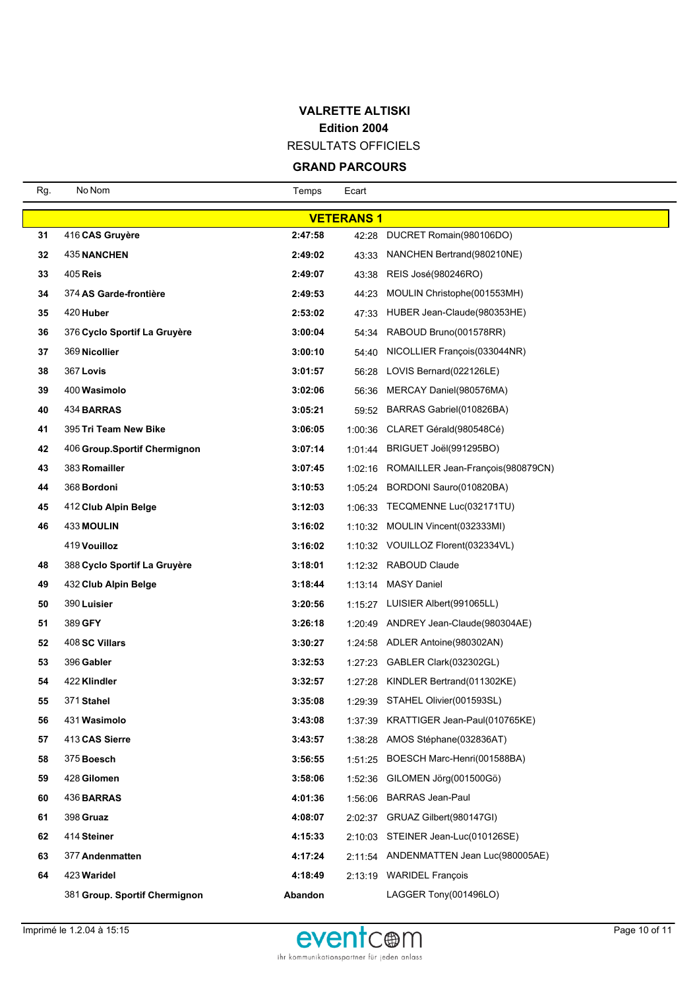RESULTATS OFFICIELS

| Rg. | No Nom                        | Temps   | Ecart            |                                            |
|-----|-------------------------------|---------|------------------|--------------------------------------------|
|     |                               |         | <b>VETERANS1</b> |                                            |
| 31  | 416 CAS Gruyère               | 2:47:58 |                  | 42:28 DUCRET Romain(980106DO)              |
| 32  | <b>435 NANCHEN</b>            | 2:49:02 | 43:33            | NANCHEN Bertrand (980210NE)                |
| 33  | 405 Reis                      | 2:49:07 | 43:38            | REIS José(980246RO)                        |
| 34  | 374 AS Garde-frontière        | 2:49:53 | 44:23            | MOULIN Christophe(001553MH)                |
| 35  | 420 Huber                     | 2:53:02 |                  | 47:33 HUBER Jean-Claude(980353HE)          |
| 36  | 376 Cyclo Sportif La Gruyère  | 3:00:04 |                  | 54:34 RABOUD Bruno(001578RR)               |
| 37  | 369 Nicollier                 | 3:00:10 | 54:40            | NICOLLIER François(033044NR)               |
| 38  | 367 Lovis                     | 3:01:57 |                  | 56:28 LOVIS Bernard(022126LE)              |
| 39  | 400 Wasimolo                  | 3:02:06 | 56:36            | MERCAY Daniel(980576MA)                    |
| 40  | 434 BARRAS                    | 3:05:21 |                  | 59:52 BARRAS Gabriel(010826BA)             |
| 41  | 395 Tri Team New Bike         | 3:06:05 |                  | 1:00:36 CLARET Gérald(980548Cé)            |
| 42  | 406 Group.Sportif Chermignon  | 3:07:14 |                  | 1:01:44 BRIGUET Joël(991295BO)             |
| 43  | 383 Romailler                 | 3:07:45 |                  | 1:02:16 ROMAILLER Jean-François (980879CN) |
| 44  | 368 Bordoni                   | 3:10:53 |                  | 1:05:24 BORDONI Sauro(010820BA)            |
| 45  | 412 Club Alpin Belge          | 3:12:03 |                  | 1:06:33 TECQMENNE Luc(032171TU)            |
| 46  | <b>433 MOULIN</b>             | 3:16:02 |                  | 1:10:32 MOULIN Vincent(032333MI)           |
|     | 419 Vouilloz                  | 3:16:02 |                  | 1:10:32 VOUILLOZ Florent(032334VL)         |
| 48  | 388 Cyclo Sportif La Gruyère  | 3:18:01 |                  | 1:12:32 RABOUD Claude                      |
| 49  | 432 Club Alpin Belge          | 3:18:44 |                  | 1:13:14 MASY Daniel                        |
| 50  | 390 Luisier                   | 3:20:56 |                  | 1:15:27 LUISIER Albert(991065LL)           |
| 51  | 389 GFY                       | 3:26:18 |                  | 1:20:49 ANDREY Jean-Claude(980304AE)       |
| 52  | 408 SC Villars                | 3:30:27 |                  | 1:24:58 ADLER Antoine(980302AN)            |
| 53  | 396 Gabler                    | 3:32:53 |                  | 1:27:23 GABLER Clark(032302GL)             |
| 54  | 422 Klindler                  | 3:32:57 |                  | 1:27:28 KINDLER Bertrand(011302KE)         |
| 55  | 371 Stahel                    | 3:35:08 |                  | 1:29:39 STAHEL Olivier(001593SL)           |
| 56  | 431 Wasimolo                  | 3:43:08 | 1:37:39          | KRATTIGER Jean-Paul(010765KE)              |
| 57  | 413 CAS Sierre                | 3:43:57 |                  | 1:38:28 AMOS Stéphane(032836AT)            |
| 58  | 375 Boesch                    | 3:56:55 |                  | 1:51:25 BOESCH Marc-Henri(001588BA)        |
| 59  | 428 Gilomen                   | 3:58:06 | 1:52:36          | GILOMEN Jörg(001500Gö)                     |
| 60  | 436 BARRAS                    | 4:01:36 | 1:56:06          | <b>BARRAS Jean-Paul</b>                    |
| 61  | 398 Gruaz                     | 4:08:07 |                  | 2:02:37 GRUAZ Gilbert(980147GI)            |
| 62  | 414 Steiner                   | 4:15:33 |                  | 2:10:03 STEINER Jean-Luc(010126SE)         |
| 63  | 377 Andenmatten               | 4:17:24 |                  | 2:11:54 ANDENMATTEN Jean Luc(980005AE)     |
| 64  | 423 Waridel                   | 4:18:49 |                  | 2:13:19 WARIDEL François                   |
|     | 381 Group. Sportif Chermignon | Abandon |                  | LAGGER Tony(001496LO)                      |